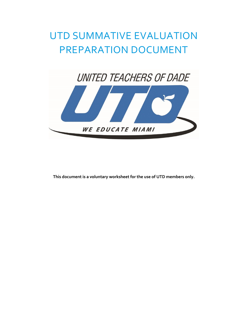# UTD SUMMATIVE EVALUATION PREPARATION DOCUMENT



**This document is a voluntary worksheet for the use of UTD members only.**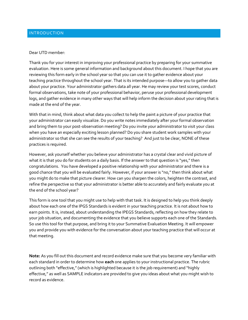#### Dear UTD member:

Thank you for your interest in improving your professional practice by preparing for your summative evaluation. Here is some general information and background about this document. I hope that you are reviewing this form early in the school year so that you can use it to gather evidence about your teaching practice throughout the school year. That is its intended purpose—to allow you to gather data about your practice. Your administrator gathers data all year. He may review your test scores, conduct formal observations, take note of your professional behavior, peruse your professional development logs, and gather evidence in many other ways that will help inform the decision about your rating that is made at the end of the year.

With that in mind, think about what data you collect to help the paint a picture of your practice that your administrator can easily visualize. Do you write notes immediately after your formal observation and bring them to your post-observation meeting? Do you invite your administrator to visit your class when you have an especially exciting lesson planned? Do you share student work samples with your administrator so that she can see the results of your teaching? And just to be clear, NONE of these practices is required.

However, ask yourself whether you believe your administrator has a crystal clear and vivid picture of what it is that you do for students on a daily basis. If the answer to that question is "yes," then congratulations. You have developed a positive relationship with your administrator and there is a good chance that you will be evaluated fairly. However, if your answer is "no," then think about what you might do to make that picture clearer. How can you sharpen the colors, heighten the contrast, and refine the perspective so that your administrator is better able to accurately and fairly evaluate you at the end of the school year?

This form is one tool that you might use to help with that task. It is designed to help you think deeply about how each one of the IPGS Standards is evident in your teaching practice. It is not about how to earn points. It is, instead, about understanding the IPEGS Standards, reflecting on how they relate to your job situation, and documenting the evidence that you believe supports each one of the Standards. So use this tool for that purpose, and bring it to your Summative Evaluation Meeting. It will empower you and provide you with evidence for the conversation about your teaching practice that will occur at that meeting.

**Note:** As you fill out this document and record evidence make sure that you become very familiar with each standard in order to determine how **each** one applies to your instructional practice. The rubric outlining both "effective," (which is highlighted because it is the job requirement) and "highly effective," as well as SAMPLE indicators are provided to give you ideas about what you might wish to record as evidence.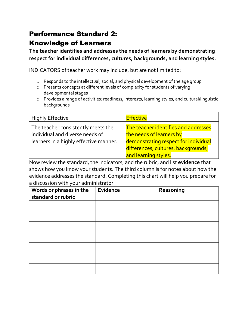### Performance Standard 2: Knowledge of Learners

**The teacher identifies and addresses the needs of learners by demonstrating respect for individual differences, cultures, backgrounds, and learning styles.**

INDICATORS of teacher work may include, but are not limited to:

- o Responds to the intellectual, social, and physical development of the age group
- o Presents concepts at different levels of complexity for students of varying developmental stages
- o Provides a range of activities: readiness, interests, learning styles, and cultural/linguistic backgrounds

| <b>Highly Effective</b>                                                                                         | <b>Effective</b>                                                                                                                                                        |
|-----------------------------------------------------------------------------------------------------------------|-------------------------------------------------------------------------------------------------------------------------------------------------------------------------|
| The teacher consistently meets the<br>individual and diverse needs of<br>learners in a highly effective manner. | The teacher identifies and addresses<br>the needs of learners by<br>demonstrating respect for individual<br>differences, cultures, backgrounds,<br>and learning styles. |

Now review the standard, the indicators, and the rubric, and list **evidence** that shows how you know your students. The third column is for notes about how the evidence addresses the standard. Completing this chart will help you prepare for a discussion with your administrator.

| Words or phrases in the<br>standard or rubric | Evidence | Reasoning |
|-----------------------------------------------|----------|-----------|
|                                               |          |           |
|                                               |          |           |
|                                               |          |           |
|                                               |          |           |
|                                               |          |           |
|                                               |          |           |
|                                               |          |           |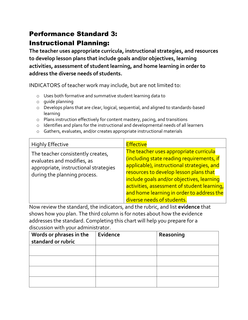# Performance Standard 3: Instructional Planning:

**The teacher uses appropriate curricula, instructional strategies, and resources to develop lesson plans that include goals and/or objectives, learning activities, assessment of student learning, and home learning in order to address the diverse needs of students.**

INDICATORS of teacher work may include, but are not limited to:

- o Uses both formative and summative student learning data to
- o guide planning
- o Develops plans that are clear, logical, sequential, and aligned to standards-based learning
- o Plans instruction effectively for content mastery, pacing, and transitions
- o Identifies and plans for the instructional and developmental needs of all learners
- o Gathers, evaluates, and/or creates appropriate instructional materials

| <b>Highly Effective</b>                                                                                                                  | <b>Effective</b>                                                                                                                                                                                                                                                                                                                                   |
|------------------------------------------------------------------------------------------------------------------------------------------|----------------------------------------------------------------------------------------------------------------------------------------------------------------------------------------------------------------------------------------------------------------------------------------------------------------------------------------------------|
| The teacher consistently creates,<br>evaluates and modifies, as<br>appropriate, instructional strategies<br>during the planning process. | The teacher uses appropriate curricula<br>(including state reading requirements, if<br>applicable), instructional strategies, and<br>resources to develop lesson plans that<br>include goals and/or objectives, learning<br>activities, assessment of student learning,<br>and home learning in order to address the<br>diverse needs of students. |

Now review the standard, the indicators, and the rubric, and list **evidence** that shows how you plan. The third column is for notes about how the evidence addresses the standard. Completing this chart will help you prepare for a discussion with your administrator.

| Words or phrases in the<br>standard or rubric | Evidence | Reasoning |
|-----------------------------------------------|----------|-----------|
|                                               |          |           |
|                                               |          |           |
|                                               |          |           |
|                                               |          |           |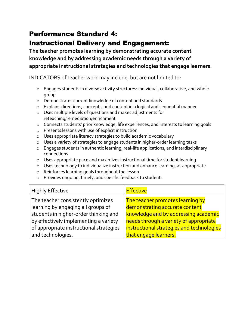# Performance Standard 4:

#### Instructional Delivery and Engagement:

**The teacher promotes learning by demonstrating accurate content knowledge and by addressing academic needs through a variety of appropriate instructional strategies and technologies that engage learners.**

INDICATORS of teacher work may include, but are not limited to:

- o Engages students in diverse activity structures: individual, collaborative, and wholegroup
- o Demonstrates current knowledge of content and standards
- o Explains directions, concepts, and content in a logical and sequential manner
- o Uses multiple levels of questions and makes adjustments for reteaching/remediation/enrichment
- o Connects students' prior knowledge, life experiences, and interests to learning goals
- o Presents lessons with use of explicit instruction
- o Uses appropriate literacy strategies to build academic vocabulary
- o Uses a variety of strategies to engage students in higher-order learning tasks
- o Engages students in authentic learning, real-life applications, and interdisciplinary connections
- o Uses appropriate pace and maximizes instructional time for student learning
- o Uses technology to individualize instruction and enhance learning, as appropriate
- o Reinforces learning goals throughout the lesson
- o Provides ongoing, timely, and specific feedback to students

| <b>Highly Effective</b>                 | <b>Effective</b>                          |
|-----------------------------------------|-------------------------------------------|
| The teacher consistently optimizes      | The teacher promotes learning by          |
| learning by engaging all groups of      | demonstrating accurate content            |
| students in higher-order thinking and   | knowledge and by addressing academic      |
| by effectively implementing a variety   | needs through a variety of appropriate    |
| of appropriate instructional strategies | instructional strategies and technologies |
| and technologies.                       | that engage learners.                     |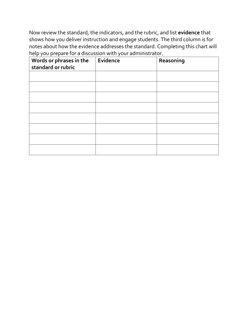Now review the standard, the indicators, and the rubric, and list **evidence** that shows how you deliver instruction and engage students. The third column is for notes about how the evidence addresses the standard. Completing this chart will help you prepare for a discussion with your administrator.

| Words or phrases in the<br>standard or rubric | Evidence | Reasoning |
|-----------------------------------------------|----------|-----------|
|                                               |          |           |
|                                               |          |           |
|                                               |          |           |
|                                               |          |           |
|                                               |          |           |
|                                               |          |           |
|                                               |          |           |
|                                               |          |           |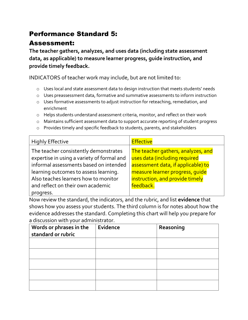#### Performance Standard 5:

#### Assessment:

**The teacher gathers, analyzes, and uses data (including state assessment data, as applicable) to measure learner progress, guide instruction, and provide timely feedback.**

INDICATORS of teacher work may include, but are not limited to:

- o Uses local and state assessment data to design instruction that meets students' needs
- o Uses preassessment data, formative and summative assessments to inform instruction
- o Uses formative assessments to adjust instruction for reteaching, remediation, and enrichment
- o Helps students understand assessment criteria, monitor, and reflect on their work
- o Maintains sufficient assessment data to support accurate reporting of student progress
- o Provides timely and specific feedback to students, parents, and stakeholders

| <b>Highly Effective</b>                                                                                                                                                                                                                             | <b>Effective</b>                                                                                                                                                                             |
|-----------------------------------------------------------------------------------------------------------------------------------------------------------------------------------------------------------------------------------------------------|----------------------------------------------------------------------------------------------------------------------------------------------------------------------------------------------|
| The teacher consistently demonstrates<br>expertise in using a variety of formal and<br>informal assessments based on intended<br>learning outcomes to assess learning.<br>Also teaches learners how to monitor<br>and reflect on their own academic | The teacher gathers, analyzes, and<br>uses data (including required<br>assessment data, if applicable) to<br>measure learner progress, quide<br>instruction, and provide timely<br>feedback. |
| progress.                                                                                                                                                                                                                                           |                                                                                                                                                                                              |

Now review the standard, the indicators, and the rubric, and list **evidence** that shows how you assess your students. The third column is for notes about how the evidence addresses the standard. Completing this chart will help you prepare for a discussion with your administrator.

| Words or phrases in the<br>standard or rubric | Evidence | Reasoning |
|-----------------------------------------------|----------|-----------|
|                                               |          |           |
|                                               |          |           |
|                                               |          |           |
|                                               |          |           |
|                                               |          |           |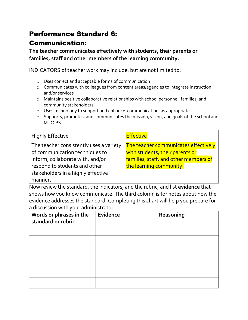#### Performance Standard 6:

#### Communication:

**The teacher communicates effectively with students, their parents or families, staff and other members of the learning community.**

INDICATORS of teacher work may include, but are not limited to:

- o Uses correct and acceptable forms of communication
- o Communicates with colleagues from content areas/agencies to integrate instruction and/or services
- o Maintains positive collaborative relationships with school personnel, families, and community stakeholders
- o Uses technology to support and enhance communication, as appropriate
- o Supports, promotes, and communicates the mission, vision, and goals of the school and M-DCPS

| <b>Highly Effective</b>                 | <b>Effective</b>                      |
|-----------------------------------------|---------------------------------------|
| The teacher consistently uses a variety | The teacher communicates effectively  |
| of communication techniques to          | with students, their parents or       |
| inform, collaborate with, and/or        | families, staff, and other members of |
| respond to students and other           | the learning community.               |
| stakeholders in a highly effective      |                                       |
| manner.                                 |                                       |

Now review the standard, the indicators, and the rubric, and list **evidence** that shows how you know communicate. The third column is for notes about how the evidence addresses the standard. Completing this chart will help you prepare for a discussion with your administrator.

| Words or phrases in the<br>standard or rubric | Evidence | Reasoning |
|-----------------------------------------------|----------|-----------|
|                                               |          |           |
|                                               |          |           |
|                                               |          |           |
|                                               |          |           |
|                                               |          |           |
|                                               |          |           |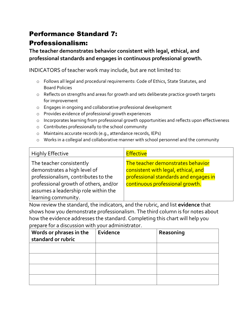# Performance Standard 7:

#### Professionalism:

**The teacher demonstrates behavior consistent with legal, ethical, and professional standards and engages in continuous professional growth.**

INDICATORS of teacher work may include, but are not limited to:

- o Follows all legal and procedural requirements: Code of Ethics, State Statutes, and Board Policies
- o Reflects on strengths and areas for growth and sets deliberate practice growth targets for improvement
- o Engages in ongoing and collaborative professional development
- o Provides evidence of professional growth experiences
- o Incorporates learning from professional growth opportunities and reflects upon effectiveness
- o Contributes professionally to the school community
- o Maintains accurate records (e.g., attendance records, IEPs)
- o Works in a collegial and collaborative manner with school personnel and the community

| <b>Highly Effective</b>                                                                                                                                                                                 | <b>Effective</b>                                                                                                                                     |
|---------------------------------------------------------------------------------------------------------------------------------------------------------------------------------------------------------|------------------------------------------------------------------------------------------------------------------------------------------------------|
| The teacher consistently<br>demonstrates a high level of<br>professionalism, contributes to the<br>professional growth of others, and/or<br>assumes a leadership role within the<br>learning community. | The teacher demonstrates behavior<br>consistent with legal, ethical, and<br>professional standards and engages in<br>continuous professional growth. |

Now review the standard, the indicators, and the rubric, and list **evidence** that shows how you demonstrate professionalism. The third column is for notes about how the evidence addresses the standard. Completing this chart will help you prepare for a discussion with your administrator.

| Words or phrases in the<br>standard or rubric | Evidence | Reasoning |
|-----------------------------------------------|----------|-----------|
|                                               |          |           |
|                                               |          |           |
|                                               |          |           |
|                                               |          |           |